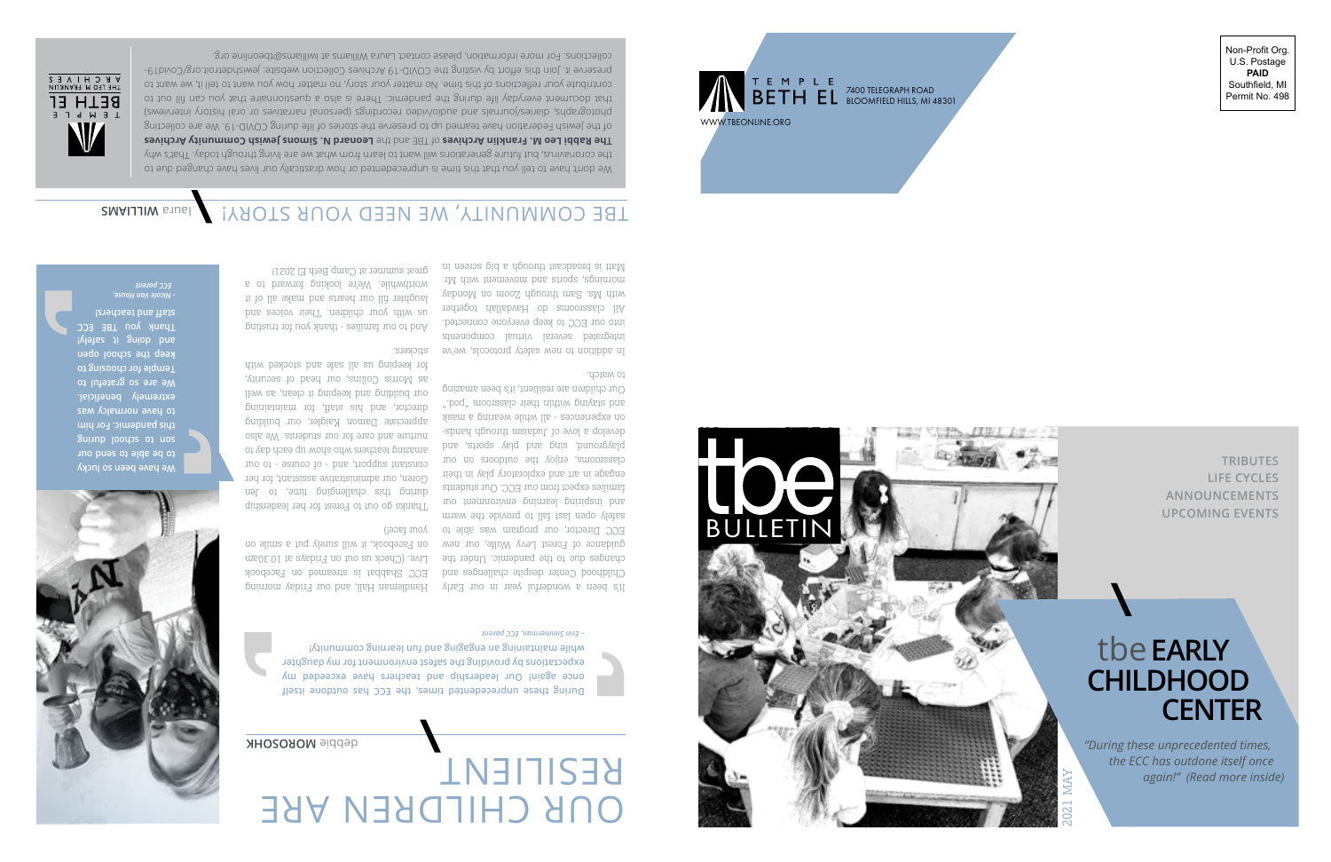BULLETIN

**TRIBUTES LIFE CYCLES ANNOUNCEMENTS UPCOMING EVENTS**

# tbe**EARLY CHILDHOOD CENTER**

 *"During these unprecedented times, the ECC has outdone itself once again!" (Read more inside)*

021 MAY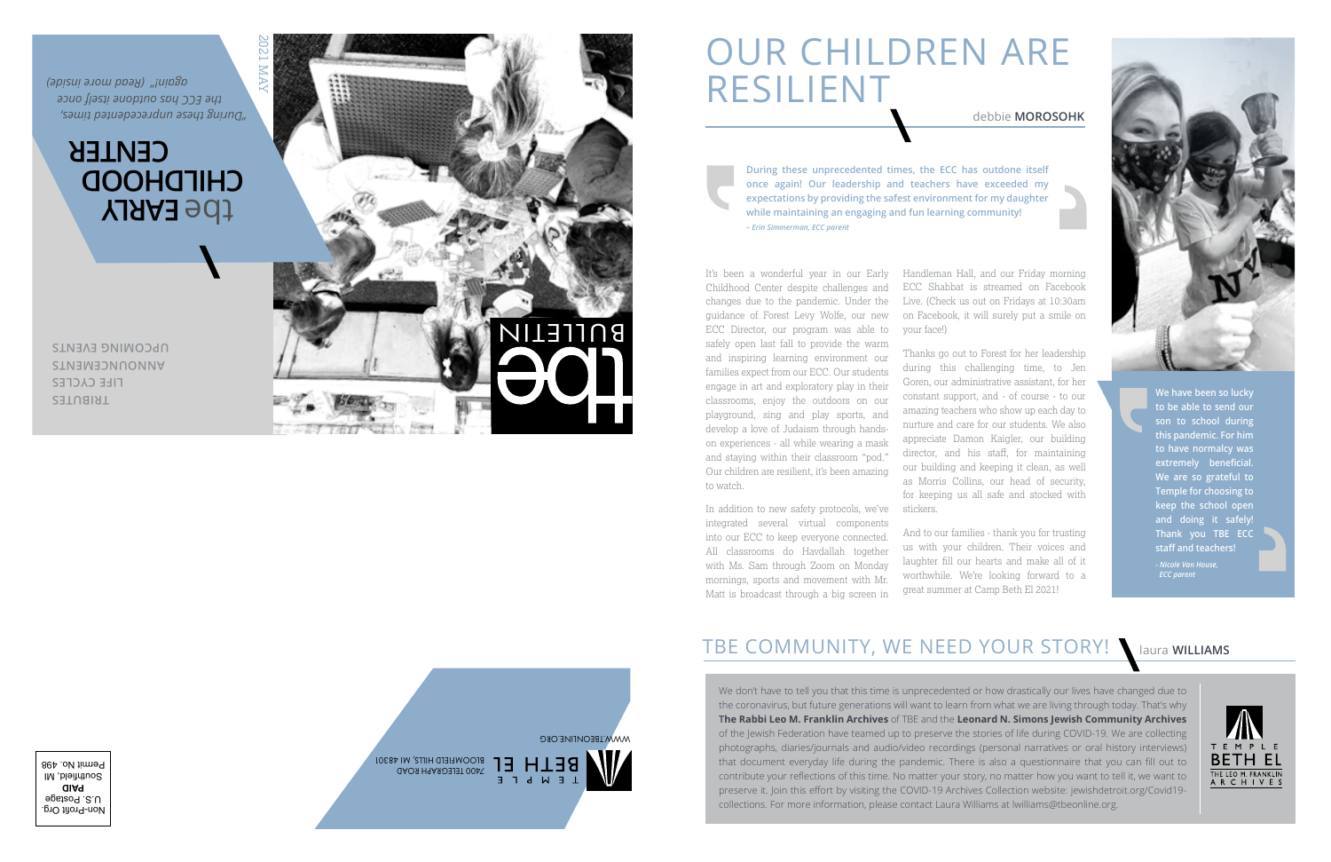# OUR CHILDREN ARE RESILIENT

debbie **MOROSOHK**

**During these unprecedented times, the ECC has outdone itself once again! Our leadership and teachers have exceeded my expectations by providing the safest environment for my daughter while maintaining an engaging and fun learning community!**  *– Erin Simmerman, ECC parent*

It's been a wonderful year in our Early Childhood Center despite challenges and changes due to the pandemic. Under the guidance of Forest Levy Wolfe, our new ECC Director, our program was able to safely open last fall to provide the warm and inspiring learning environment our families expect from our ECC. Our students engage in art and exploratory play in their classrooms, enjoy the outdoors on our playground, sing and play sports, and develop a love of Judaism through handson experiences - all while wearing a mask and staying within their classroom "pod." Our children are resilient, it's been amazing to watch.

In addition to new safety protocols, we've integrated several virtual components into our ECC to keep everyone connected. All classrooms do Havdallah together with Ms. Sam through Zoom on Monday mornings, sports and movement with Mr. Matt is broadcast through a big screen in

Handleman Hall, and our Friday morning ECC Shabbat is streamed on Facebook Live. (Check us out on Fridays at 10:30am on Facebook, it will surely put a smile on your face!)

Thanks go out to Forest for her leadership during this challenging time, to Jen Goren, our administrative assistant, for her constant support, and - of course - to our amazing teachers who show up each day to nurture and care for our students. We also appreciate Damon Kaigler, our building director, and his staff, for maintaining our building and keeping it clean, as well as Morris Collins, our head of security, for keeping us all safe and stocked with stickers.

And to our families - thank you for trusting us with your children. Their voices and laughter fill our hearts and make all of it worthwhile. We're looking forward to a great summer at Camp Beth El 2021!



**We have been so lucky to be able to send our son to school during this pandemic. For him to have normalcy was extremely beneficial. We are so grateful to Temple for choosing to keep the school open and doing it safely! Thank you TBE ECC staff and teachers!**

*- Nicole Van House, ECC parent*

# TBE COMMUNITY, WE NEED YOUR STORY! laura **WILLIAMS**

We don't have to tell you that this time is unprecedented or how drastically our lives have changed due to the coronavirus, but future generations will want to learn from what we are living through today. That's why **The Rabbi Leo M. Franklin Archives** of TBE and the **Leonard N. Simons Jewish Community Archives**  of the Jewish Federation have teamed up to preserve the stories of life during COVID-19. We are collecting photographs, diaries/journals and audio/video recordings (personal narratives or oral history interviews) that document everyday life during the pandemic. There is also a questionnaire that you can fill out to contribute your reflections of this time. No matter your story, no matter how you want to tell it, we want to preserve it. Join this effort by visiting the COVID-19 Archives Collection website: jewishdetroit.org/Covid19 collections. For more information, please contact Laura Williams at lwilliams@tbeonline.org.